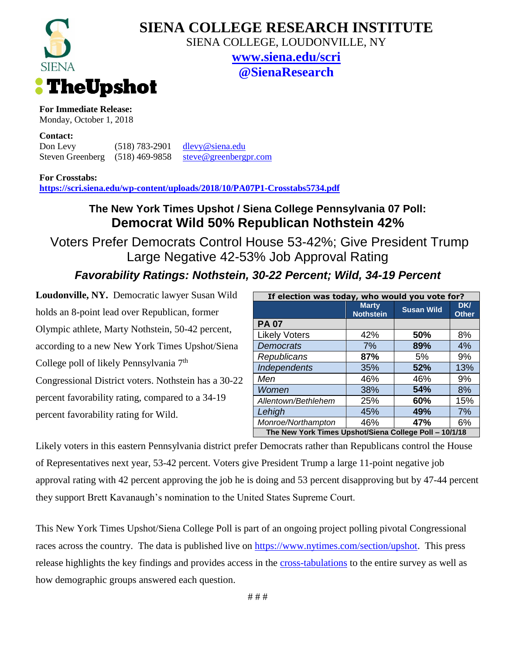

# **SIENA COLLEGE RESEARCH INSTITUTE**

SIENA COLLEGE, LOUDONVILLE, NY

**[www.siena.edu/scri](http://www.siena.edu/scri) @SienaResearch**

### **For Immediate Release:**

Monday, October 1, 2018

#### **Contact:**

Don Levy (518) 783-2901 [dlevy@siena.edu](mailto:dlevy@siena.edu) Steven Greenberg (518) 469-9858 [steve@greenbergpr.com](mailto:steve@greenbergpr.com)

**For Crosstabs:**

**<https://scri.siena.edu/wp-content/uploads/2018/10/PA07P1-Crosstabs5734.pdf>**

### **The New York Times Upshot / Siena College Pennsylvania 07 Poll: Democrat Wild 50% Republican Nothstein 42%**

Voters Prefer Democrats Control House 53-42%; Give President Trump Large Negative 42-53% Job Approval Rating

# *Favorability Ratings: Nothstein, 30-22 Percent; Wild, 34-19 Percent*

**Loudonville, NY.** Democratic lawyer Susan Wild holds an 8-point lead over Republican, former Olympic athlete, Marty Nothstein, 50-42 percent, according to a new New York Times Upshot/Siena College poll of likely Pennsylvania 7<sup>th</sup> Congressional District voters. Nothstein has a 30-22 percent favorability rating, compared to a 34-19 percent favorability rating for Wild.

| If election was today, who would you vote for?         |                                  |                   |                            |
|--------------------------------------------------------|----------------------------------|-------------------|----------------------------|
|                                                        | <b>Marty</b><br><b>Nothstein</b> | <b>Susan Wild</b> | <b>DK/</b><br><b>Other</b> |
| <b>PA 07</b>                                           |                                  |                   |                            |
| <b>Likely Voters</b>                                   | 42%                              | 50%               | 8%                         |
| <b>Democrats</b>                                       | 7%                               | 89%               | 4%                         |
| Republicans                                            | 87%                              | 5%                | 9%                         |
| Independents                                           | 35%                              | 52%               | 13%                        |
| Men                                                    | 46%                              | 46%               | 9%                         |
| Women                                                  | 38%                              | 54%               | 8%                         |
| Allentown/Bethlehem                                    | 25%                              | 60%               | 15%                        |
| Lehigh                                                 | 45%                              | 49%               | 7%                         |
| Monroe/Northampton                                     | 46%                              | 47%               | 6%                         |
| The New York Times Upshot/Siena College Poll - 10/1/18 |                                  |                   |                            |

Likely voters in this eastern Pennsylvania district prefer Democrats rather than Republicans control the House of Representatives next year, 53-42 percent. Voters give President Trump a large 11-point negative job approval rating with 42 percent approving the job he is doing and 53 percent disapproving but by 47-44 percent they support Brett Kavanaugh's nomination to the United States Supreme Court.

This New York Times Upshot/Siena College Poll is part of an ongoing project polling pivotal Congressional races across the country. The data is published live on [https://www.nytimes.com/section/upshot.](https://www.nytimes.com/section/upshot) This press release highlights the key findings and provides access in the [cross-tabulations](https://scri.siena.edu/wp-content/uploads/2018/10/PA07P1-Crosstabs5734.pdf) to the entire survey as well as how demographic groups answered each question.